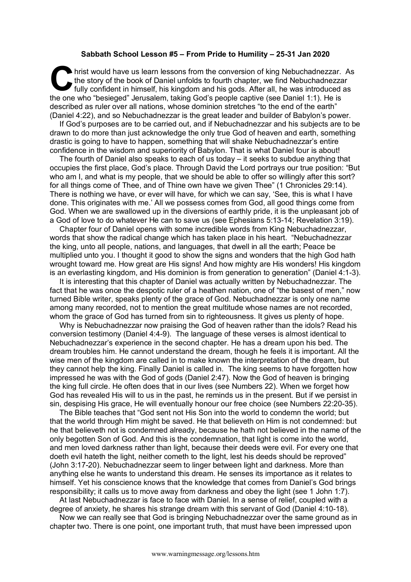## **Sabbath School Lesson #5 – From Pride to Humility – 25-31 Jan 2020**

hrist would have us learn lessons from the conversion of king Nebuchadnezzar. As the story of the book of Daniel unfolds to fourth chapter, we find Nebuchadnezzar fully confident in himself, his kingdom and his gods. After all, he was introduced as the one who "besieged" Jerusalem, taking God's people captive (see Daniel 1:1). He is described as ruler over all nations, whose dominion stretches "to the end of the earth" (Daniel 4:22), and so Nebuchadnezzar is the great leader and builder of Babylon's power. C hristened the space of

If God's purposes are to be carried out, and if Nebuchadnezzar and his subjects are to be drawn to do more than just acknowledge the only true God of heaven and earth, something drastic is going to have to happen, something that will shake Nebuchadnezzar's entire confidence in the wisdom and superiority of Babylon. That is what Daniel four is about!

The fourth of Daniel also speaks to each of us today – it seeks to subdue anything that occupies the first place, God's place. Through David the Lord portrays our true position: "But who am I, and what is my people, that we should be able to offer so willingly after this sort? for all things come of Thee, and of Thine own have we given Thee" (1 Chronicles 29:14). There is nothing we have, or ever will have, for which we can say, 'See, this is what I have done. This originates with me.' All we possess comes from God, all good things come from God. When we are swallowed up in the diversions of earthly pride, it is the unpleasant job of a God of love to do whatever He can to save us (see Ephesians 5:13-14; Revelation 3:19).

Chapter four of Daniel opens with some incredible words from King Nebuchadnezzar, words that show the radical change which has taken place in his heart. "Nebuchadnezzar the king, unto all people, nations, and languages, that dwell in all the earth; Peace be multiplied unto you. I thought it good to show the signs and wonders that the high God hath wrought toward me. How great are His signs! And how mighty are His wonders! His kingdom is an everlasting kingdom, and His dominion is from generation to generation" (Daniel 4:1-3).

It is interesting that this chapter of Daniel was actually written by Nebuchadnezzar. The fact that he was once the despotic ruler of a heathen nation, one of "the basest of men," now turned Bible writer, speaks plenty of the grace of God. Nebuchadnezzar is only one name among many recorded, not to mention the great multitude whose names are not recorded, whom the grace of God has turned from sin to righteousness. It gives us plenty of hope.

Why is Nebuchadnezzar now praising the God of heaven rather than the idols? Read his conversion testimony (Daniel 4:4-9). The language of these verses is almost identical to Nebuchadnezzar's experience in the second chapter. He has a dream upon his bed. The dream troubles him. He cannot understand the dream, though he feels it is important. All the wise men of the kingdom are called in to make known the interpretation of the dream, but they cannot help the king. Finally Daniel is called in. The king seems to have forgotten how impressed he was with the God of gods (Daniel 2:47). Now the God of heaven is bringing the king full circle. He often does that in our lives (see Numbers 22). When we forget how God has revealed His will to us in the past, he reminds us in the present. But if we persist in sin, despising His grace, He will eventually honour our free choice (see Numbers 22:20-35).

The Bible teaches that "God sent not His Son into the world to condemn the world; but that the world through Him might be saved. He that believeth on Him is not condemned: but he that believeth not is condemned already, because he hath not believed in the name of the only begotten Son of God. And this is the condemnation, that light is come into the world, and men loved darkness rather than light, because their deeds were evil. For every one that doeth evil hateth the light, neither cometh to the light, lest his deeds should be reproved" (John 3:17-20). Nebuchadnezzar seem to linger between light and darkness. More than anything else he wants to understand this dream. He senses its importance as it relates to himself. Yet his conscience knows that the knowledge that comes from Daniel's God brings responsibility; it calls us to move away from darkness and obey the light (see 1 John 1:7).

At last Nebuchadnezzar is face to face with Daniel. In a sense of relief, coupled with a degree of anxiety, he shares his strange dream with this servant of God (Daniel 4:10-18).

Now we can really see that God is bringing Nebuchadnezzar over the same ground as in chapter two. There is one point, one important truth, that must have been impressed upon